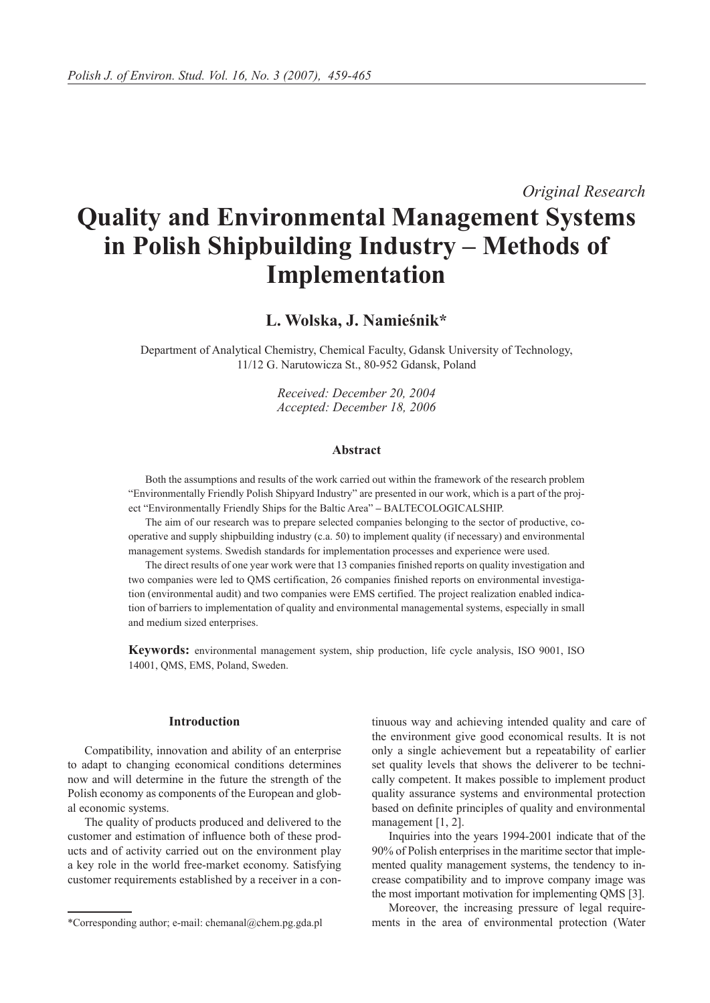*Original Research*

# **Quality and Environmental Management Systems in Polish Shipbuilding Industry – Methods of Implementation**

**L. Wolska, J. Namieśnik\***

Department of Analytical Chemistry, Chemical Faculty, Gdansk University of Technology, 11/12 G. Narutowicza St., 80-952 Gdansk, Poland

> *Received: December 20, 2004 Accepted: December 18, 2006*

#### **Abstract**

Both the assumptions and results of the work carried out within the framework of the research problem "Environmentally Friendly Polish Shipyard Industry" are presented in our work, which is a part of the project "Environmentally Friendly Ships for the Baltic Area" **–** BALTECOLOGICALSHIP.

The aim of our research was to prepare selected companies belonging to the sector of productive, cooperative and supply shipbuilding industry (c.a. 50) to implement quality (if necessary) and environmental management systems. Swedish standards for implementation processes and experience were used.

The direct results of one year work were that 13 companies finished reports on quality investigation and two companies were led to QMS certification, 26 companies finished reports on environmental investigation (environmental audit) and two companies were EMS certified. The project realization enabled indication of barriers to implementation of quality and environmental managemental systems, especially in small and medium sized enterprises.

**Keywords:** environmental management system, ship production, life cycle analysis, ISO 9001, ISO 14001, QMS, EMS, Poland, Sweden.

## **Introduction**

Compatibility, innovation and ability of an enterprise to adapt to changing economical conditions determines now and will determine in the future the strength of the Polish economy as components of the European and global economic systems.

The quality of products produced and delivered to the customer and estimation of influence both of these products and of activity carried out on the environment play a key role in the world free-market economy. Satisfying customer requirements established by a receiver in a continuous way and achieving intended quality and care of the environment give good economical results. It is not only a single achievement but a repeatability of earlier set quality levels that shows the deliverer to be technically competent. It makes possible to implement product quality assurance systems and environmental protection based on definite principles of quality and environmental management [1, 2].

Inquiries into the years 1994-2001 indicate that of the 90% of Polish enterprises in the maritime sector that implemented quality management systems, the tendency to increase compatibility and to improve company image was the most important motivation for implementing QMS [3].

Moreover, the increasing pressure of legal require- \*Corresponding author; e-mail: chemanal@chem.pg.gda.pl ments in the area of environmental protection (Water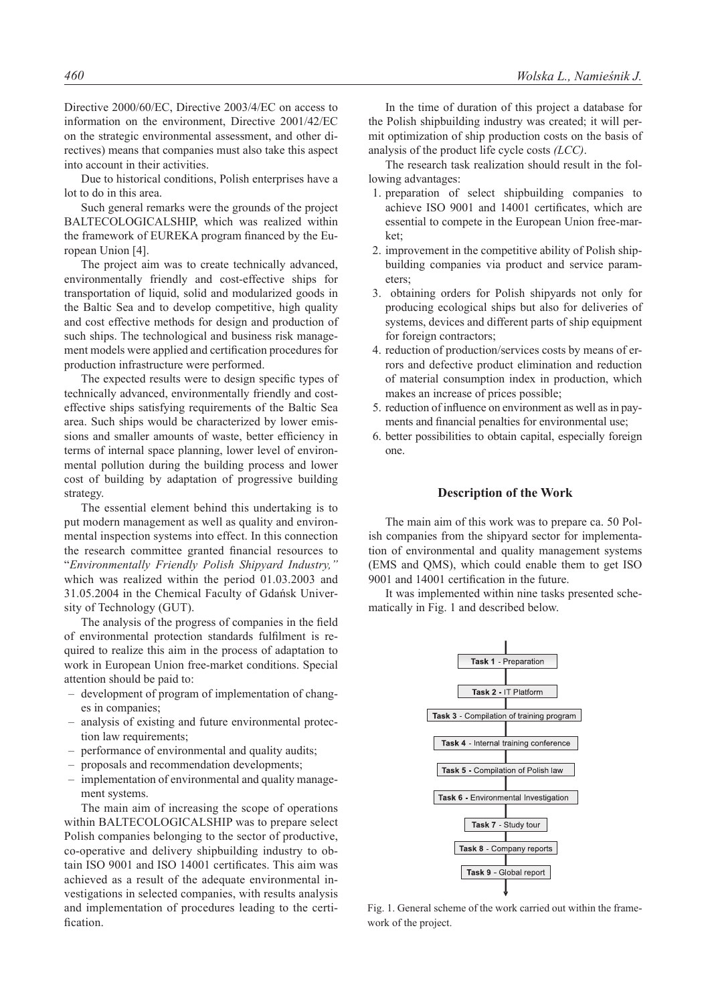Directive 2000/60/EC, Directive 2003/4/EC on access to information on the environment, Directive 2001/42/EC on the strategic environmental assessment, and other directives) means that companies must also take this aspect into account in their activities.

Due to historical conditions, Polish enterprises have a lot to do in this area.

Such general remarks were the grounds of the project BALTECOLOGICALSHIP, which was realized within the framework of EUREKA program financed by the European Union [4].

The project aim was to create technically advanced, environmentally friendly and cost-effective ships for transportation of liquid, solid and modularized goods in the Baltic Sea and to develop competitive, high quality and cost effective methods for design and production of such ships. The technological and business risk management models were applied and certification procedures for production infrastructure were performed.

The expected results were to design specific types of technically advanced, environmentally friendly and costeffective ships satisfying requirements of the Baltic Sea area. Such ships would be characterized by lower emissions and smaller amounts of waste, better efficiency in terms of internal space planning, lower level of environmental pollution during the building process and lower cost of building by adaptation of progressive building strategy.

The essential element behind this undertaking is to put modern management as well as quality and environmental inspection systems into effect. In this connection the research committee granted financial resources to "*Environmentally Friendly Polish Shipyard Industry,"* which was realized within the period 01.03.2003 and 31.05.2004 in the Chemical Faculty of Gdańsk University of Technology (GUT).

The analysis of the progress of companies in the field of environmental protection standards fulfilment is required to realize this aim in the process of adaptation to work in European Union free-market conditions. Special attention should be paid to:

- development of program of implementation of changes in companies;
- analysis of existing and future environmental protection law requirements;
- performance of environmental and quality audits;
- proposals and recommendation developments;
- implementation of environmental and quality management systems.

The main aim of increasing the scope of operations within BALTECOLOGICALSHIP was to prepare select Polish companies belonging to the sector of productive, co-operative and delivery shipbuilding industry to obtain ISO 9001 and ISO 14001 certificates. This aim was achieved as a result of the adequate environmental investigations in selected companies, with results analysis and implementation of procedures leading to the certification.

In the time of duration of this project a database for the Polish shipbuilding industry was created; it will permit optimization of ship production costs on the basis of analysis of the product life cycle costs *(LCC)*.

The research task realization should result in the following advantages:

- 1. preparation of select shipbuilding companies to achieve ISO 9001 and 14001 certificates, which are essential to compete in the European Union free-market;
- 2. improvement in the competitive ability of Polish shipbuilding companies via product and service parameters;
- 3. obtaining orders for Polish shipyards not only for producing ecological ships but also for deliveries of systems, devices and different parts of ship equipment for foreign contractors;
- 4. reduction of production/services costs by means of errors and defective product elimination and reduction of material consumption index in production, which makes an increase of prices possible;
- 5. reduction of influence on environment as well as in payments and financial penalties for environmental use;
- 6. better possibilities to obtain capital, especially foreign one.

## **Description of the Work**

The main aim of this work was to prepare ca. 50 Polish companies from the shipyard sector for implementation of environmental and quality management systems (EMS and QMS), which could enable them to get ISO 9001 and 14001 certification in the future.

It was implemented within nine tasks presented schematically in Fig. 1 and described below.



Fig. 1. General scheme of the work carried out within the framework of the project.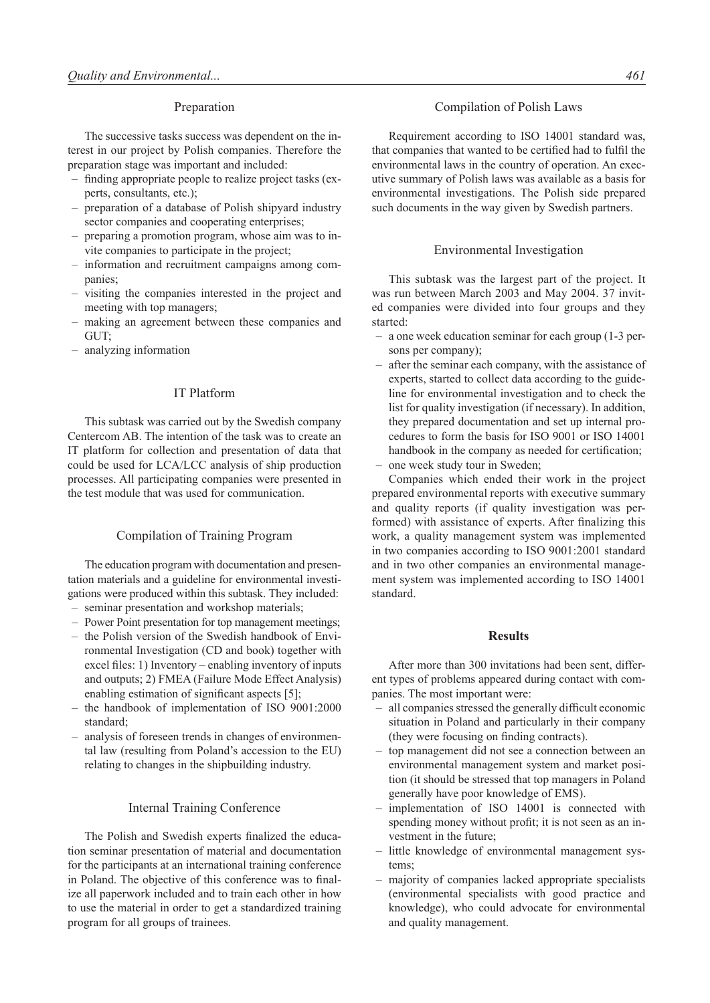## Preparation

The successive tasks success was dependent on the interest in our project by Polish companies. Therefore the preparation stage was important and included:

- finding appropriate people to realize project tasks (experts, consultants, etc.);
- preparation of a database of Polish shipyard industry sector companies and cooperating enterprises;
- preparing a promotion program, whose aim was to invite companies to participate in the project;
- information and recruitment campaigns among companies;
- visiting the companies interested in the project and meeting with top managers;
- making an agreement between these companies and GUT;
- analyzing information

## IT Platform

This subtask was carried out by the Swedish company Centercom AB. The intention of the task was to create an IT platform for collection and presentation of data that could be used for LCA/LCC analysis of ship production processes. All participating companies were presented in the test module that was used for communication.

## Compilation of Training Program

The education program with documentation and presentation materials and a guideline for environmental investigations were produced within this subtask. They included:

- seminar presentation and workshop materials;
- Power Point presentation for top management meetings;
- the Polish version of the Swedish handbook of Environmental Investigation (CD and book) together with excel files: 1) Inventory – enabling inventory of inputs and outputs; 2) FMEA (Failure Mode Effect Analysis) enabling estimation of significant aspects [5];
- the handbook of implementation of ISO 9001:2000 standard;
- analysis of foreseen trends in changes of environmental law (resulting from Poland's accession to the EU) relating to changes in the shipbuilding industry.

### Internal Training Conference

The Polish and Swedish experts finalized the education seminar presentation of material and documentation for the participants at an international training conference in Poland. The objective of this conference was to finalize all paperwork included and to train each other in how to use the material in order to get a standardized training program for all groups of trainees.

# Compilation of Polish Laws

Requirement according to ISO 14001 standard was, that companies that wanted to be certified had to fulfil the environmental laws in the country of operation. An executive summary of Polish laws was available as a basis for environmental investigations. The Polish side prepared such documents in the way given by Swedish partners.

#### Environmental Investigation

This subtask was the largest part of the project. It was run between March 2003 and May 2004. 37 invited companies were divided into four groups and they started:

- a one week education seminar for each group (1-3 persons per company);
- after the seminar each company, with the assistance of experts, started to collect data according to the guideline for environmental investigation and to check the list for quality investigation (if necessary). In addition, they prepared documentation and set up internal procedures to form the basis for ISO 9001 or ISO 14001 handbook in the company as needed for certification;
- one week study tour in Sweden;

Companies which ended their work in the project prepared environmental reports with executive summary and quality reports (if quality investigation was performed) with assistance of experts. After finalizing this work, a quality management system was implemented in two companies according to ISO 9001:2001 standard and in two other companies an environmental management system was implemented according to ISO 14001 standard.

## **Results**

After more than 300 invitations had been sent, different types of problems appeared during contact with companies. The most important were:

- all companies stressed the generally difficult economic situation in Poland and particularly in their company (they were focusing on finding contracts).
- top management did not see a connection between an environmental management system and market position (it should be stressed that top managers in Poland generally have poor knowledge of EMS).
- implementation of ISO 14001 is connected with spending money without profit; it is not seen as an investment in the future;
- little knowledge of environmental management systems;
- majority of companies lacked appropriate specialists (environmental specialists with good practice and knowledge), who could advocate for environmental and quality management.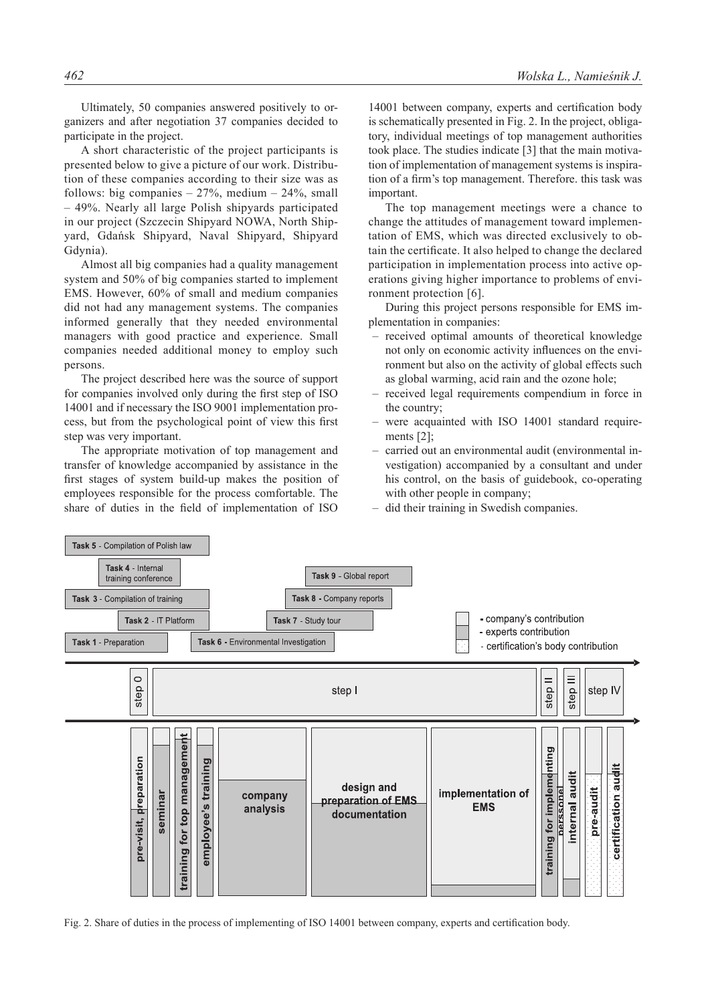Ultimately, 50 companies answered positively to organizers and after negotiation 37 companies decided to participate in the project.

A short characteristic of the project participants is presented below to give a picture of our work. Distribution of these companies according to their size was as follows: big companies  $-27%$ , medium  $-24%$ , small – 49%. Nearly all large Polish shipyards participated in our project (Szczecin Shipyard NOWA, North Shipyard, Gdańsk Shipyard, Naval Shipyard, Shipyard Gdynia).

Almost all big companies had a quality management system and 50% of big companies started to implement EMS. However, 60% of small and medium companies did not had any management systems. The companies informed generally that they needed environmental managers with good practice and experience. Small companies needed additional money to employ such persons.

The project described here was the source of support for companies involved only during the first step of ISO 14001 and if necessary the ISO 9001 implementation process, but from the psychological point of view this first step was very important.

The appropriate motivation of top management and transfer of knowledge accompanied by assistance in the first stages of system build-up makes the position of employees responsible for the process comfortable. The share of duties in the field of implementation of ISO

14001 between company, experts and certification body is schematically presented in Fig. 2. In the project, obligatory, individual meetings of top management authorities took place. The studies indicate [3] that the main motivation of implementation of management systems is inspiration of a firm's top management. Therefore. this task was important.

The top management meetings were a chance to change the attitudes of management toward implementation of EMS, which was directed exclusively to obtain the certificate. It also helped to change the declared participation in implementation process into active operations giving higher importance to problems of environment protection [6].

During this project persons responsible for EMS implementation in companies:

- received optimal amounts of theoretical knowledge not only on economic activity influences on the environment but also on the activity of global effects such as global warming, acid rain and the ozone hole;
- received legal requirements compendium in force in the country;
- were acquainted with ISO 14001 standard requirements [2];
- carried out an environmental audit (environmental investigation) accompanied by a consultant and under his control, on the basis of guidebook, co-operating with other people in company;
- did their training in Swedish companies.



Fig. 2. Share of duties in the process of implementing of ISO 14001 between company, experts and certification body.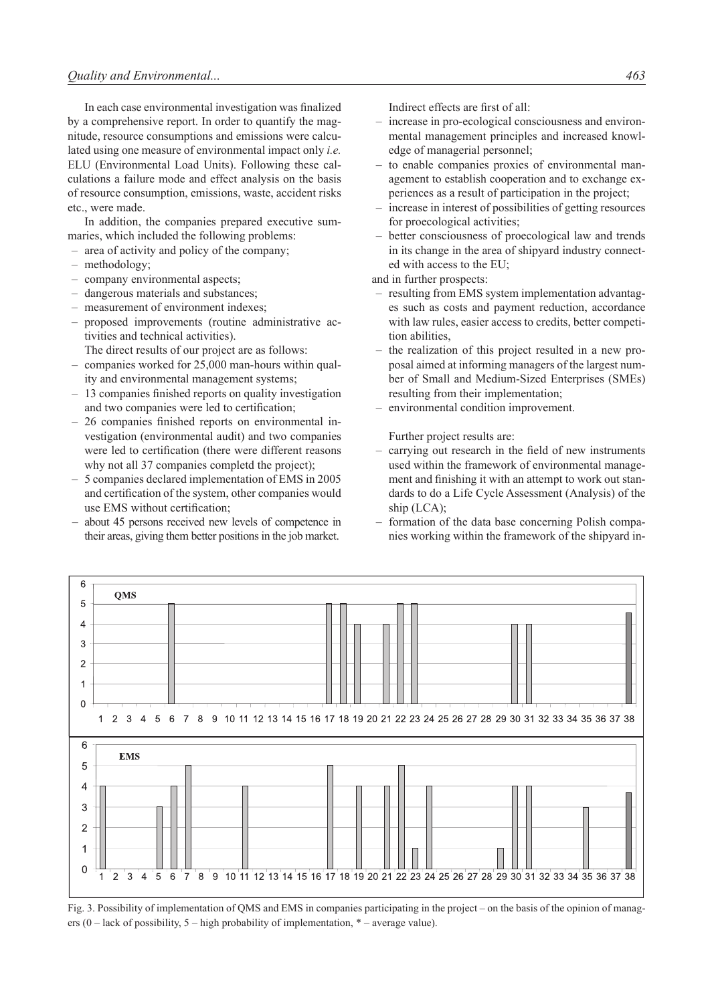In each case environmental investigation was finalized by a comprehensive report. In order to quantify the magnitude, resource consumptions and emissions were calculated using one measure of environmental impact only *i.e.* ELU (Environmental Load Units). Following these calculations a failure mode and effect analysis on the basis of resource consumption, emissions, waste, accident risks etc., were made.

In addition, the companies prepared executive summaries, which included the following problems:

- area of activity and policy of the company;
- methodology;
- company environmental aspects;
- dangerous materials and substances;
- measurement of environment indexes;
- proposed improvements (routine administrative activities and technical activities).

The direct results of our project are as follows:

- companies worked for 25,000 man-hours within quality and environmental management systems;
- 13 companies finished reports on quality investigation and two companies were led to certification;
- 26 companies finished reports on environmental investigation (environmental audit) and two companies were led to certification (there were different reasons why not all 37 companies completd the project);
- 5 companies declared implementation of EMS in 2005 and certification of the system, other companies would use EMS without certification;
- about 45 persons received new levels of competence in their areas, giving them better positions in the job market.

Indirect effects are first of all:

- increase in pro-ecological consciousness and environmental management principles and increased knowledge of managerial personnel;
- to enable companies proxies of environmental management to establish cooperation and to exchange experiences as a result of participation in the project;
- increase in interest of possibilities of getting resources for proecological activities;
- better consciousness of proecological law and trends in its change in the area of shipyard industry connected with access to the EU;

and in further prospects:

- resulting from EMS system implementation advantages such as costs and payment reduction, accordance with law rules, easier access to credits, better competition abilities,
- the realization of this project resulted in a new proposal aimed at informing managers of the largest number of Small and Medium-Sized Enterprises (SMEs) resulting from their implementation;
- environmental condition improvement.

Further project results are:

- carrying out research in the field of new instruments used within the framework of environmental management and finishing it with an attempt to work out standards to do a Life Cycle Assessment (Analysis) of the ship (LCA);
- formation of the data base concerning Polish companies working within the framework of the shipyard in-



Fig. 3. Possibility of implementation of QMS and EMS in companies participating in the project – on the basis of the opinion of managers  $(0 - \text{lack of possibility}, 5 - \text{high probability of implementation}, * - \text{average value}).$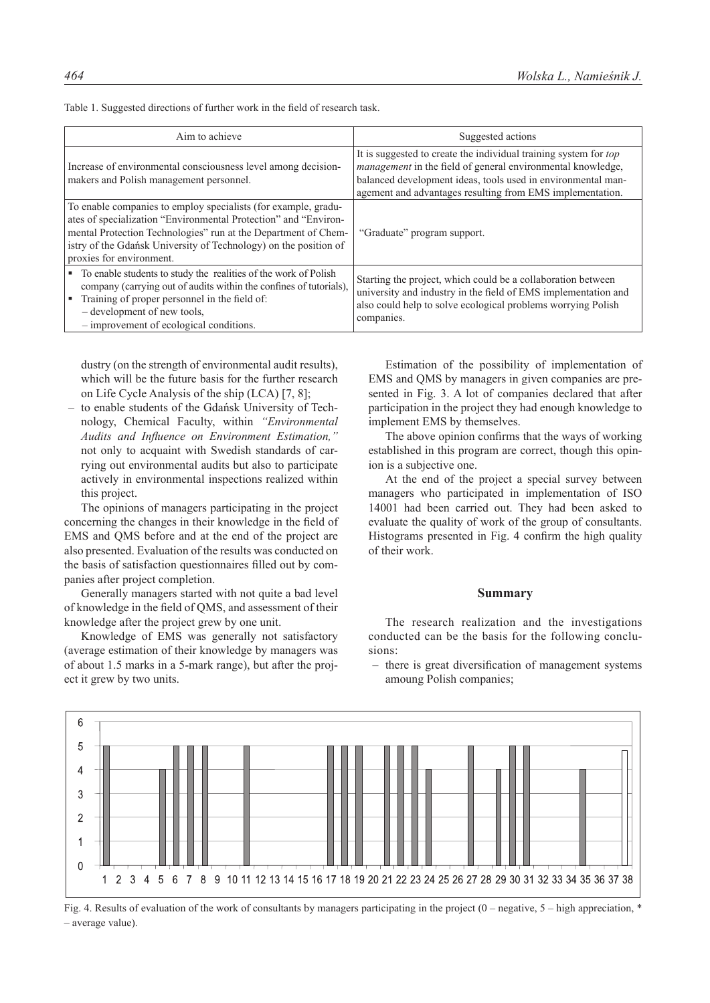| Aim to achieve                                                                                                                                                                                                                                                                                      | Suggested actions                                                                                                                                                                                                                                                   |
|-----------------------------------------------------------------------------------------------------------------------------------------------------------------------------------------------------------------------------------------------------------------------------------------------------|---------------------------------------------------------------------------------------------------------------------------------------------------------------------------------------------------------------------------------------------------------------------|
| Increase of environmental consciousness level among decision-<br>makers and Polish management personnel.                                                                                                                                                                                            | It is suggested to create the individual training system for <i>top</i><br>management in the field of general environmental knowledge,<br>balanced development ideas, tools used in environmental man-<br>agement and advantages resulting from EMS implementation. |
| To enable companies to employ specialists (for example, gradu-<br>ates of specialization "Environmental Protection" and "Environ-<br>mental Protection Technologies" run at the Department of Chem-<br>istry of the Gdańsk University of Technology) on the position of<br>proxies for environment. | "Graduate" program support.                                                                                                                                                                                                                                         |
| • To enable students to study the realities of the work of Polish<br>company (carrying out of audits within the confines of tutorials),<br>Training of proper personnel in the field of:<br>E<br>- development of new tools,<br>- improvement of ecological conditions.                             | Starting the project, which could be a collaboration between<br>university and industry in the field of EMS implementation and<br>also could help to solve ecological problems worrying Polish<br>companies.                                                        |

Table 1. Suggested directions of further work in the field of research task.

dustry (on the strength of environmental audit results), which will be the future basis for the further research on Life Cycle Analysis of the ship (LCA) [7, 8];

– to enable students of the Gdańsk University of Technology, Chemical Faculty, within *"Environmental Audits and Influence on Environment Estimation,"* not only to acquaint with Swedish standards of carrying out environmental audits but also to participate actively in environmental inspections realized within this project.

The opinions of managers participating in the project concerning the changes in their knowledge in the field of EMS and QMS before and at the end of the project are also presented. Evaluation of the results was conducted on the basis of satisfaction questionnaires filled out by companies after project completion.

Generally managers started with not quite a bad level of knowledge in the field of QMS, and assessment of their knowledge after the project grew by one unit.

Knowledge of EMS was generally not satisfactory (average estimation of their knowledge by managers was of about 1.5 marks in a 5-mark range), but after the project it grew by two units.

Estimation of the possibility of implementation of EMS and QMS by managers in given companies are presented in Fig. 3. A lot of companies declared that after participation in the project they had enough knowledge to implement EMS by themselves.

The above opinion confirms that the ways of working established in this program are correct, though this opinion is a subjective one.

At the end of the project a special survey between managers who participated in implementation of ISO 14001 had been carried out. They had been asked to evaluate the quality of work of the group of consultants. Histograms presented in Fig. 4 confirm the high quality of their work.

# **Summary**

The research realization and the investigations conducted can be the basis for the following conclusions:

– there is great diversification of management systems amoung Polish companies;